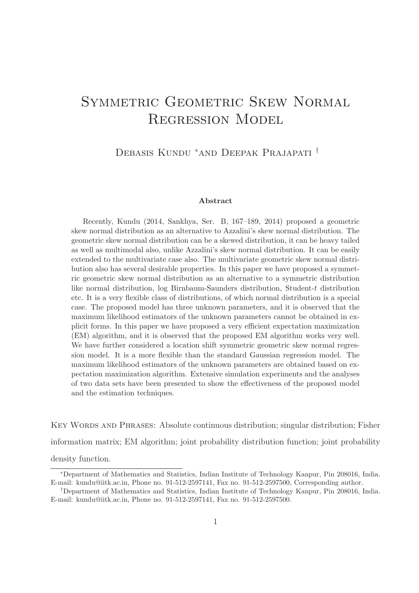# SYMMETRIC GEOMETRIC SKEW NORMAL Regression Model

Debasis Kundu <sup>∗</sup>and Deepak Prajapati †

#### Abstract

Recently, Kundu (2014, Sankhya, Ser. B, 167–189, 2014) proposed a geometric skew normal distribution as an alternative to Azzalini's skew normal distribution. The geometric skew normal distribution can be a skewed distribution, it can be heavy tailed as well as multimodal also, unlike Azzalini's skew normal distribution. It can be easily extended to the multivariate case also. The multivariate geometric skew normal distribution also has several desirable properties. In this paper we have proposed a symmetric geometric skew normal distribution as an alternative to a symmetric distribution like normal distribution, log Birnbaum-Saunders distribution, Student-t distribution etc. It is a very flexible class of distributions, of which normal distribution is a special case. The proposed model has three unknown parameters, and it is observed that the maximum likelihood estimators of the unknown parameters cannot be obtained in explicit forms. In this paper we have proposed a very efficient expectation maximization (EM) algorithm, and it is observed that the proposed EM algorithm works very well. We have further considered a location shift symmetric geometric skew normal regression model. It is a more flexible than the standard Gaussian regression model. The maximum likelihood estimators of the unknown parameters are obtained based on expectation maximization algorithm. Extensive simulation experiments and the analyses of two data sets have been presented to show the effectiveness of the proposed model and the estimation techniques.

Key Words and Phrases: Absolute continuous distribution; singular distribution; Fisher information matrix; EM algorithm; joint probability distribution function; joint probability density function.

<sup>∗</sup>Department of Mathematics and Statistics, Indian Institute of Technology Kanpur, Pin 208016, India. E-mail: kundu@iitk.ac.in, Phone no. 91-512-2597141, Fax no. 91-512-2597500, Corresponding author.

<sup>†</sup>Department of Mathematics and Statistics, Indian Institute of Technology Kanpur, Pin 208016, India. E-mail: kundu@iitk.ac.in, Phone no. 91-512-2597141, Fax no. 91-512-2597500.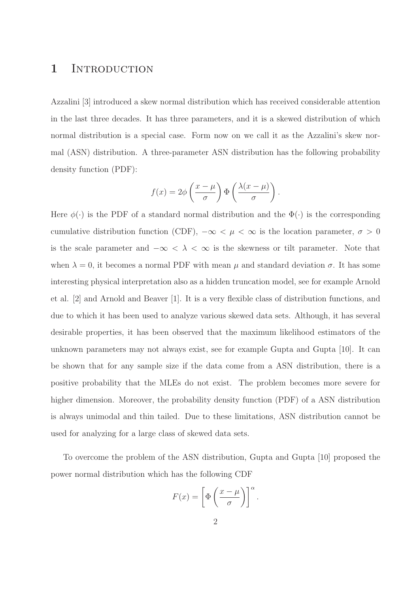## 1 INTRODUCTION

Azzalini [3] introduced a skew normal distribution which has received considerable attention in the last three decades. It has three parameters, and it is a skewed distribution of which normal distribution is a special case. Form now on we call it as the Azzalini's skew normal (ASN) distribution. A three-parameter ASN distribution has the following probability density function (PDF):

$$
f(x) = 2\phi \left(\frac{x-\mu}{\sigma}\right) \Phi \left(\frac{\lambda(x-\mu)}{\sigma}\right).
$$

Here  $\phi(\cdot)$  is the PDF of a standard normal distribution and the  $\Phi(\cdot)$  is the corresponding cumulative distribution function (CDF),  $-\infty < \mu < \infty$  is the location parameter,  $\sigma > 0$ is the scale parameter and  $-\infty < \lambda < \infty$  is the skewness or tilt parameter. Note that when  $\lambda = 0$ , it becomes a normal PDF with mean  $\mu$  and standard deviation  $\sigma$ . It has some interesting physical interpretation also as a hidden truncation model, see for example Arnold et al. [2] and Arnold and Beaver [1]. It is a very flexible class of distribution functions, and due to which it has been used to analyze various skewed data sets. Although, it has several desirable properties, it has been observed that the maximum likelihood estimators of the unknown parameters may not always exist, see for example Gupta and Gupta [10]. It can be shown that for any sample size if the data come from a ASN distribution, there is a positive probability that the MLEs do not exist. The problem becomes more severe for higher dimension. Moreover, the probability density function (PDF) of a ASN distribution is always unimodal and thin tailed. Due to these limitations, ASN distribution cannot be used for analyzing for a large class of skewed data sets.

To overcome the problem of the ASN distribution, Gupta and Gupta [10] proposed the power normal distribution which has the following CDF

$$
F(x) = \left[\Phi\left(\frac{x-\mu}{\sigma}\right)\right]^{\alpha}.
$$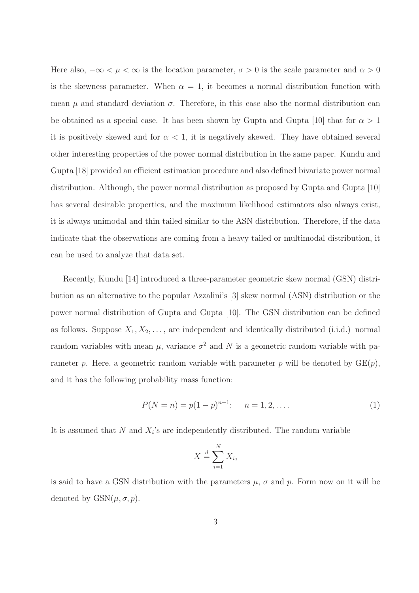Here also,  $-\infty < \mu < \infty$  is the location parameter,  $\sigma > 0$  is the scale parameter and  $\alpha > 0$ is the skewness parameter. When  $\alpha = 1$ , it becomes a normal distribution function with mean  $\mu$  and standard deviation  $\sigma$ . Therefore, in this case also the normal distribution can be obtained as a special case. It has been shown by Gupta and Gupta [10] that for  $\alpha > 1$ it is positively skewed and for  $\alpha < 1$ , it is negatively skewed. They have obtained several other interesting properties of the power normal distribution in the same paper. Kundu and Gupta [18] provided an efficient estimation procedure and also defined bivariate power normal distribution. Although, the power normal distribution as proposed by Gupta and Gupta [10] has several desirable properties, and the maximum likelihood estimators also always exist, it is always unimodal and thin tailed similar to the ASN distribution. Therefore, if the data indicate that the observations are coming from a heavy tailed or multimodal distribution, it can be used to analyze that data set.

Recently, Kundu [14] introduced a three-parameter geometric skew normal (GSN) distribution as an alternative to the popular Azzalini's [3] skew normal (ASN) distribution or the power normal distribution of Gupta and Gupta [10]. The GSN distribution can be defined as follows. Suppose  $X_1, X_2, \ldots$ , are independent and identically distributed (i.i.d.) normal random variables with mean  $\mu$ , variance  $\sigma^2$  and N is a geometric random variable with parameter p. Here, a geometric random variable with parameter p will be denoted by  $GE(p)$ , and it has the following probability mass function:

$$
P(N = n) = p(1 - p)^{n-1}; \quad n = 1, 2, ....
$$
 (1)

It is assumed that  $N$  and  $X_i$ 's are independently distributed. The random variable

$$
X \stackrel{d}{=} \sum_{i=1}^{N} X_i,
$$

is said to have a GSN distribution with the parameters  $\mu$ ,  $\sigma$  and  $p$ . Form now on it will be denoted by  $GSN(\mu, \sigma, p)$ .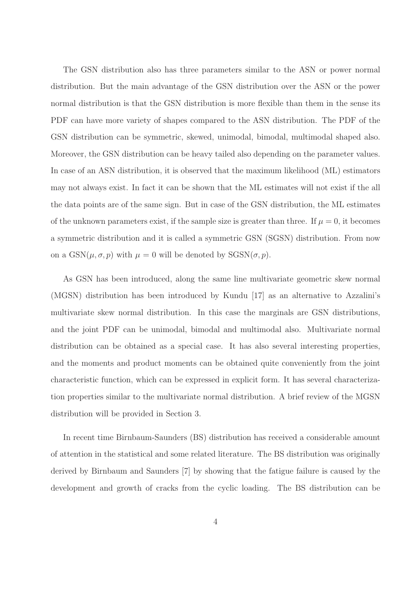The GSN distribution also has three parameters similar to the ASN or power normal distribution. But the main advantage of the GSN distribution over the ASN or the power normal distribution is that the GSN distribution is more flexible than them in the sense its PDF can have more variety of shapes compared to the ASN distribution. The PDF of the GSN distribution can be symmetric, skewed, unimodal, bimodal, multimodal shaped also. Moreover, the GSN distribution can be heavy tailed also depending on the parameter values. In case of an ASN distribution, it is observed that the maximum likelihood (ML) estimators may not always exist. In fact it can be shown that the ML estimates will not exist if the all the data points are of the same sign. But in case of the GSN distribution, the ML estimates of the unknown parameters exist, if the sample size is greater than three. If  $\mu = 0$ , it becomes a symmetric distribution and it is called a symmetric GSN (SGSN) distribution. From now on a  $GSN(\mu, \sigma, p)$  with  $\mu = 0$  will be denoted by  $SGSN(\sigma, p)$ .

As GSN has been introduced, along the same line multivariate geometric skew normal (MGSN) distribution has been introduced by Kundu [17] as an alternative to Azzalini's multivariate skew normal distribution. In this case the marginals are GSN distributions, and the joint PDF can be unimodal, bimodal and multimodal also. Multivariate normal distribution can be obtained as a special case. It has also several interesting properties, and the moments and product moments can be obtained quite conveniently from the joint characteristic function, which can be expressed in explicit form. It has several characterization properties similar to the multivariate normal distribution. A brief review of the MGSN distribution will be provided in Section 3.

In recent time Birnbaum-Saunders (BS) distribution has received a considerable amount of attention in the statistical and some related literature. The BS distribution was originally derived by Birnbaum and Saunders [7] by showing that the fatigue failure is caused by the development and growth of cracks from the cyclic loading. The BS distribution can be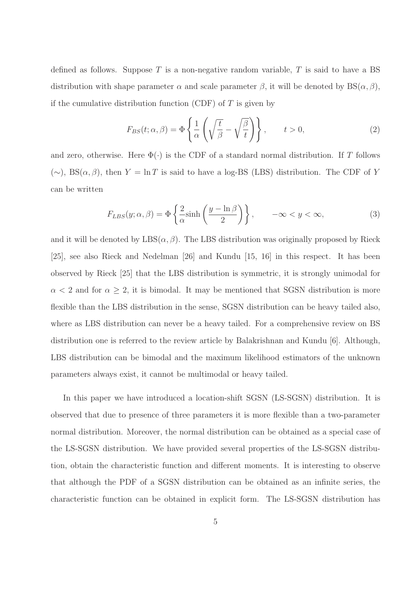defined as follows. Suppose T is a non-negative random variable, T is said to have a BS distribution with shape parameter  $\alpha$  and scale parameter  $\beta$ , it will be denoted by  $BS(\alpha, \beta)$ , if the cumulative distribution function (CDF) of  $T$  is given by

$$
F_{BS}(t; \alpha, \beta) = \Phi\left\{\frac{1}{\alpha} \left(\sqrt{\frac{t}{\beta}} - \sqrt{\frac{\beta}{t}}\right)\right\}, \qquad t > 0,
$$
\n(2)

and zero, otherwise. Here  $\Phi(\cdot)$  is the CDF of a standard normal distribution. If T follows  $(\sim)$ , BS( $\alpha$ , β), then  $Y = \ln T$  is said to have a log-BS (LBS) distribution. The CDF of Y can be written

$$
F_{LBS}(y; \alpha, \beta) = \Phi\left\{\frac{2}{\alpha}\sinh\left(\frac{y - \ln \beta}{2}\right)\right\}, \qquad -\infty < y < \infty,
$$
 (3)

and it will be denoted by  $\text{LBS}(\alpha, \beta)$ . The LBS distribution was originally proposed by Rieck [25], see also Rieck and Nedelman [26] and Kundu [15, 16] in this respect. It has been observed by Rieck [25] that the LBS distribution is symmetric, it is strongly unimodal for  $\alpha$  < 2 and for  $\alpha \geq 2$ , it is bimodal. It may be mentioned that SGSN distribution is more flexible than the LBS distribution in the sense, SGSN distribution can be heavy tailed also, where as LBS distribution can never be a heavy tailed. For a comprehensive review on BS distribution one is referred to the review article by Balakrishnan and Kundu [6]. Although, LBS distribution can be bimodal and the maximum likelihood estimators of the unknown parameters always exist, it cannot be multimodal or heavy tailed.

In this paper we have introduced a location-shift SGSN (LS-SGSN) distribution. It is observed that due to presence of three parameters it is more flexible than a two-parameter normal distribution. Moreover, the normal distribution can be obtained as a special case of the LS-SGSN distribution. We have provided several properties of the LS-SGSN distribution, obtain the characteristic function and different moments. It is interesting to observe that although the PDF of a SGSN distribution can be obtained as an infinite series, the characteristic function can be obtained in explicit form. The LS-SGSN distribution has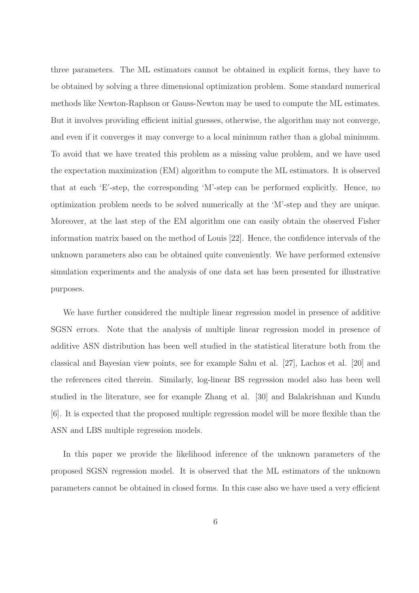three parameters. The ML estimators cannot be obtained in explicit forms, they have to be obtained by solving a three dimensional optimization problem. Some standard numerical methods like Newton-Raphson or Gauss-Newton may be used to compute the ML estimates. But it involves providing efficient initial guesses, otherwise, the algorithm may not converge, and even if it converges it may converge to a local minimum rather than a global minimum. To avoid that we have treated this problem as a missing value problem, and we have used the expectation maximization (EM) algorithm to compute the ML estimators. It is observed that at each 'E'-step, the corresponding 'M'-step can be performed explicitly. Hence, no optimization problem needs to be solved numerically at the 'M'-step and they are unique. Moreover, at the last step of the EM algorithm one can easily obtain the observed Fisher information matrix based on the method of Louis [22]. Hence, the confidence intervals of the unknown parameters also can be obtained quite conveniently. We have performed extensive simulation experiments and the analysis of one data set has been presented for illustrative purposes.

We have further considered the multiple linear regression model in presence of additive SGSN errors. Note that the analysis of multiple linear regression model in presence of additive ASN distribution has been well studied in the statistical literature both from the classical and Bayesian view points, see for example Sahu et al. [27], Lachos et al. [20] and the references cited therein. Similarly, log-linear BS regression model also has been well studied in the literature, see for example Zhang et al. [30] and Balakrishnan and Kundu [6]. It is expected that the proposed multiple regression model will be more flexible than the ASN and LBS multiple regression models.

In this paper we provide the likelihood inference of the unknown parameters of the proposed SGSN regression model. It is observed that the ML estimators of the unknown parameters cannot be obtained in closed forms. In this case also we have used a very efficient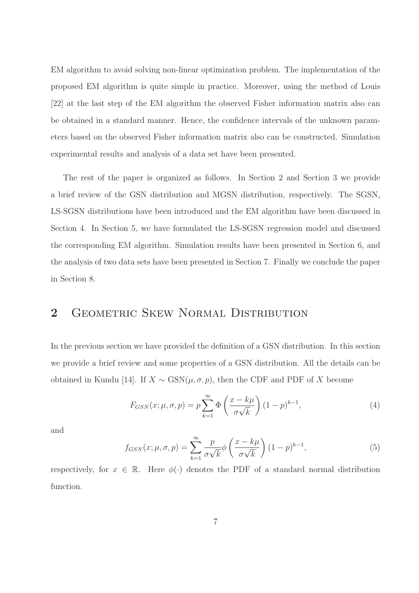EM algorithm to avoid solving non-linear optimization problem. The implementation of the proposed EM algorithm is quite simple in practice. Moreover, using the method of Louis [22] at the last step of the EM algorithm the observed Fisher information matrix also can be obtained in a standard manner. Hence, the confidence intervals of the unknown parameters based on the observed Fisher information matrix also can be constructed. Simulation experimental results and analysis of a data set have been presented.

The rest of the paper is organized as follows. In Section 2 and Section 3 we provide a brief review of the GSN distribution and MGSN distribution, respectively. The SGSN, LS-SGSN distributions have been introduced and the EM algorithm have been discussed in Section 4. In Section 5, we have formulated the LS-SGSN regression model and discussed the corresponding EM algorithm. Simulation results have been presented in Section 6, and the analysis of two data sets have been presented in Section 7. Finally we conclude the paper in Section 8.

# 2 GEOMETRIC SKEW NORMAL DISTRIBUTION

In the previous section we have provided the definition of a GSN distribution. In this section we provide a brief review and some properties of a GSN distribution. All the details can be obtained in Kundu [14]. If  $X \sim$  GSN( $\mu, \sigma, p$ ), then the CDF and PDF of X become

$$
F_{GSN}(x; \mu, \sigma, p) = p \sum_{k=1}^{\infty} \Phi\left(\frac{x - k\mu}{\sigma\sqrt{k}}\right) (1 - p)^{k-1},\tag{4}
$$

and

$$
f_{GSN}(x; \mu, \sigma, p) = \sum_{k=1}^{\infty} \frac{p}{\sigma \sqrt{k}} \phi \left( \frac{x - k\mu}{\sigma \sqrt{k}} \right) (1 - p)^{k-1}, \tag{5}
$$

respectively, for  $x \in \mathbb{R}$ . Here  $\phi(\cdot)$  denotes the PDF of a standard normal distribution function.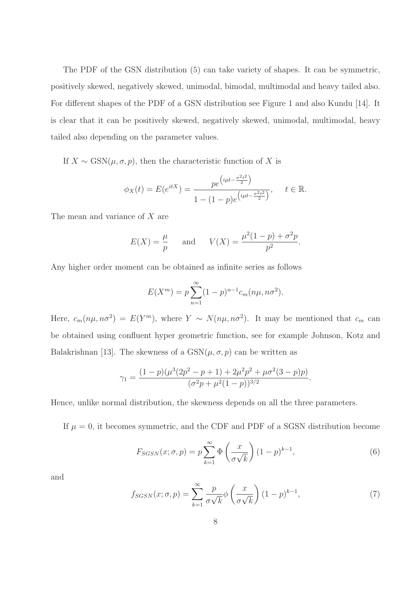The PDF of the GSN distribution (5) can take variety of shapes. It can be symmetric, positively skewed, negatively skewed, unimodal, bimodal, multimodal and heavy tailed also. For different shapes of the PDF of a GSN distribution see Figure 1 and also Kundu [14]. It is clear that it can be positively skewed, negatively skewed, unimodal, multimodal, heavy tailed also depending on the parameter values.

If  $X \sim \text{GSN}(\mu, \sigma, p)$ , then the characteristic function of X is

$$
\phi_X(t) = E(e^{itX}) = \frac{pe^{\left(i\mu t - \frac{\sigma^2 t^2}{2}\right)}}{1 - (1 - p)e^{\left(i\mu t - \frac{\sigma^2 t^2}{2}\right)}}, \quad t \in \mathbb{R}.
$$

The mean and variance of X are

$$
E(X) = \frac{\mu}{p}
$$
 and  $V(X) = \frac{\mu^2(1-p) + \sigma^2 p}{p^2}$ .

Any higher order moment can be obtained as infinite series as follows

$$
E(X^{m}) = p \sum_{n=1}^{\infty} (1-p)^{n-1} c_m(n\mu, n\sigma^2).
$$

Here,  $c_m(n\mu, n\sigma^2) = E(Y^m)$ , where  $Y \sim N(n\mu, n\sigma^2)$ . It may be mentioned that  $c_m$  can be obtained using confluent hyper geometric function, see for example Johnson, Kotz and Balakrishnan [13]. The skewness of a  $GSN(\mu, \sigma, p)$  can be written as

$$
\gamma_1 = \frac{(1-p)(\mu^3(2p^2-p+1)+2\mu^2p^2+\mu\sigma^2(3-p)p)}{(\sigma^2p+\mu^2(1-p))^{3/2}}.
$$

Hence, unlike normal distribution, the skewness depends on all the three parameters.

If  $\mu = 0$ , it becomes symmetric, and the CDF and PDF of a SGSN distribution become

$$
F_{SGSN}(x;\sigma,p) = p \sum_{k=1}^{\infty} \Phi\left(\frac{x}{\sigma\sqrt{k}}\right) (1-p)^{k-1},\tag{6}
$$

and

$$
f_{SGSN}(x;\sigma,p) = \sum_{k=1}^{\infty} \frac{p}{\sigma\sqrt{k}} \phi\left(\frac{x}{\sigma\sqrt{k}}\right) (1-p)^{k-1},\tag{7}
$$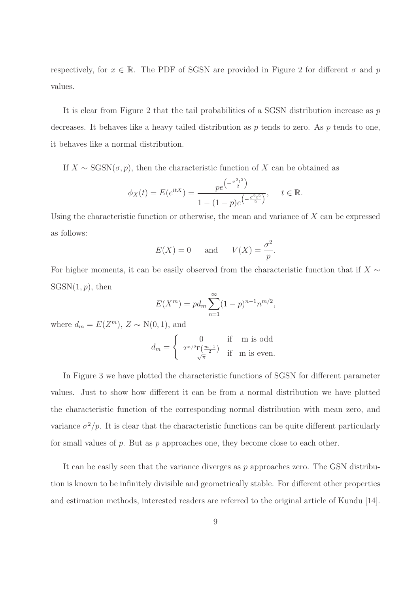respectively, for  $x \in \mathbb{R}$ . The PDF of SGSN are provided in Figure 2 for different  $\sigma$  and p values.

It is clear from Figure 2 that the tail probabilities of a SGSN distribution increase as  $p$ decreases. It behaves like a heavy tailed distribution as  $p$  tends to zero. As  $p$  tends to one, it behaves like a normal distribution.

If  $X \sim \text{SGSN}(\sigma, p)$ , then the characteristic function of X can be obtained as

$$
\phi_X(t) = E(e^{itX}) = \frac{pe^{\left(-\frac{\sigma^2 t^2}{2}\right)}}{1 - (1 - p)e^{\left(-\frac{\sigma^2 t^2}{2}\right)}}, \quad t \in \mathbb{R}.
$$

Using the characteristic function or otherwise, the mean and variance of  $X$  can be expressed as follows:

$$
E(X) = 0
$$
 and  $V(X) = \frac{\sigma^2}{p}$ .

For higher moments, it can be easily observed from the characteristic function that if  $X \sim$  $SGSN(1, p)$ , then

$$
E(X^{m}) = pd_{m} \sum_{n=1}^{\infty} (1-p)^{n-1} n^{m/2},
$$

where  $d_m = E(Z^m)$ ,  $Z \sim N(0, 1)$ , and

$$
d_m = \begin{cases} 0 & \text{if } \text{m is odd} \\ \frac{2^{m/2} \Gamma\left(\frac{m+1}{2}\right)}{\sqrt{\pi}} & \text{if } \text{m is even.} \end{cases}
$$

In Figure 3 we have plotted the characteristic functions of SGSN for different parameter values. Just to show how different it can be from a normal distribution we have plotted the characteristic function of the corresponding normal distribution with mean zero, and variance  $\sigma^2/p$ . It is clear that the characteristic functions can be quite different particularly for small values of  $p$ . But as  $p$  approaches one, they become close to each other.

It can be easily seen that the variance diverges as  $p$  approaches zero. The GSN distribution is known to be infinitely divisible and geometrically stable. For different other properties and estimation methods, interested readers are referred to the original article of Kundu [14].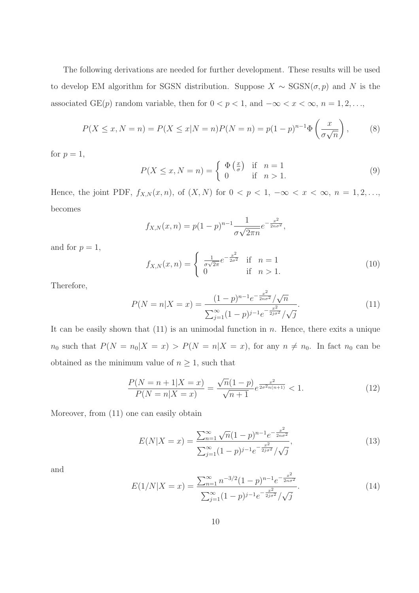The following derivations are needed for further development. These results will be used to develop EM algorithm for SGSN distribution. Suppose  $X \sim$  SGSN( $\sigma$ , $p$ ) and N is the associated GE(p) random variable, then for  $0 < p < 1$ , and  $-\infty < x < \infty$ ,  $n = 1, 2, \ldots$ ,

$$
P(X \le x, N = n) = P(X \le x | N = n) P(N = n) = p(1 - p)^{n-1} \Phi\left(\frac{x}{\sigma \sqrt{n}}\right),
$$
 (8)

for  $p=1$ ,

$$
P(X \le x, N = n) = \begin{cases} \Phi\left(\frac{x}{\sigma}\right) & \text{if } n = 1\\ 0 & \text{if } n > 1. \end{cases}
$$
 (9)

Hence, the joint PDF,  $f_{X,N}(x, n)$ , of  $(X, N)$  for  $0 < p < 1$ ,  $-\infty < x < \infty$ ,  $n = 1, 2, \ldots$ , becomes

$$
f_{X,N}(x,n) = p(1-p)^{n-1} \frac{1}{\sigma \sqrt{2\pi n}} e^{-\frac{x^2}{2n\sigma^2}},
$$

and for  $p=1$ ,

$$
f_{X,N}(x,n) = \begin{cases} \frac{1}{\sigma\sqrt{2\pi}}e^{-\frac{x^2}{2\sigma^2}} & \text{if } n = 1\\ 0 & \text{if } n > 1. \end{cases}
$$
 (10)

Therefore,

$$
P(N = n | X = x) = \frac{(1 - p)^{n - 1} e^{-\frac{x^2}{2n\sigma^2}} / \sqrt{n}}{\sum_{j=1}^{\infty} (1 - p)^{j - 1} e^{-\frac{x^2}{2j\sigma^2}} / \sqrt{j}}.
$$
(11)

It can be easily shown that  $(11)$  is an unimodal function in n. Hence, there exits a unique  $n_0$  such that  $P(N = n_0|X = x) > P(N = n|X = x)$ , for any  $n \neq n_0$ . In fact  $n_0$  can be obtained as the minimum value of  $n \geq 1$ , such that

$$
\frac{P(N=n+1|X=x)}{P(N=n|X=x)} = \frac{\sqrt{n}(1-p)}{\sqrt{n+1}} e^{\frac{x^2}{2\sigma^2 n(n+1)}} < 1. \tag{12}
$$

Moreover, from (11) one can easily obtain

$$
E(N|X=x) = \frac{\sum_{n=1}^{\infty} \sqrt{n}(1-p)^{n-1} e^{-\frac{x^2}{2n\sigma^2}}}{\sum_{j=1}^{\infty} (1-p)^{j-1} e^{-\frac{x^2}{2j\sigma^2}}/\sqrt{j}},
$$
\n(13)

and

$$
E(1/N|X=x) = \frac{\sum_{n=1}^{\infty} n^{-3/2} (1-p)^{n-1} e^{-\frac{x^2}{2n\sigma^2}}}{\sum_{j=1}^{\infty} (1-p)^{j-1} e^{-\frac{x^2}{2j\sigma^2}}/\sqrt{j}}.
$$
(14)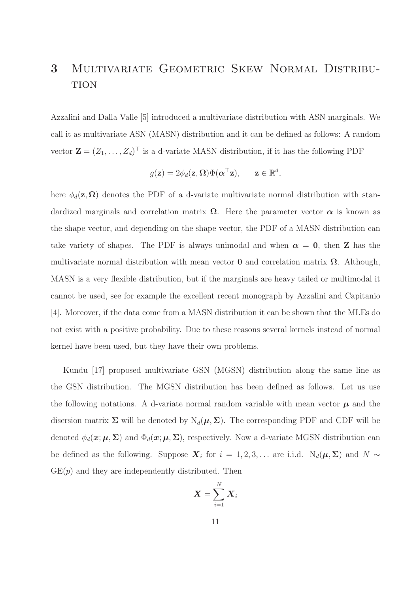# 3 Multivariate Geometric Skew Normal Distribu-**TION**

Azzalini and Dalla Valle [5] introduced a multivariate distribution with ASN marginals. We call it as multivariate ASN (MASN) distribution and it can be defined as follows: A random vector  $\mathbf{Z} = (Z_1, \ldots, Z_d)^\top$  is a d-variate MASN distribution, if it has the following PDF

$$
g(\mathbf{z}) = 2\phi_d(\mathbf{z}, \mathbf{\Omega}) \Phi(\mathbf{\alpha}^\top \mathbf{z}), \quad \mathbf{z} \in \mathbb{R}^d,
$$

here  $\phi_d(z,\Omega)$  denotes the PDF of a d-variate multivariate normal distribution with standardized marginals and correlation matrix  $\Omega$ . Here the parameter vector  $\alpha$  is known as the shape vector, and depending on the shape vector, the PDF of a MASN distribution can take variety of shapes. The PDF is always unimodal and when  $\alpha = 0$ , then **Z** has the multivariate normal distribution with mean vector **0** and correlation matrix  $\Omega$ . Although, MASN is a very flexible distribution, but if the marginals are heavy tailed or multimodal it cannot be used, see for example the excellent recent monograph by Azzalini and Capitanio [4]. Moreover, if the data come from a MASN distribution it can be shown that the MLEs do not exist with a positive probability. Due to these reasons several kernels instead of normal kernel have been used, but they have their own problems.

Kundu [17] proposed multivariate GSN (MGSN) distribution along the same line as the GSN distribution. The MGSN distribution has been defined as follows. Let us use the following notations. A d-variate normal random variable with mean vector  $\mu$  and the disersion matrix  $\Sigma$  will be denoted by  $N_d(\mu, \Sigma)$ . The corresponding PDF and CDF will be denoted  $\phi_d(\mathbf{x}; \mu, \Sigma)$  and  $\Phi_d(\mathbf{x}; \mu, \Sigma)$ , respectively. Now a d-variate MGSN distribution can be defined as the following. Suppose  $\boldsymbol{X}_i$  for  $i = 1, 2, 3, \ldots$  are i.i.d.  $N_d(\boldsymbol{\mu}, \boldsymbol{\Sigma})$  and  $N \sim$  $GE(p)$  and they are independently distributed. Then

$$
\bm{X} = \sum_{i=1}^N \bm{X}_i
$$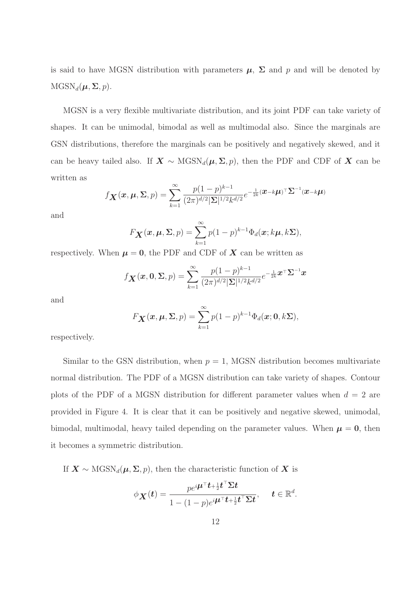is said to have MGSN distribution with parameters  $\mu$ ,  $\Sigma$  and p and will be denoted by  $MGSN_d(\boldsymbol{\mu}, \boldsymbol{\Sigma}, p)$ .

MGSN is a very flexible multivariate distribution, and its joint PDF can take variety of shapes. It can be unimodal, bimodal as well as multimodal also. Since the marginals are GSN distributions, therefore the marginals can be positively and negatively skewed, and it can be heavy tailed also. If  $X \sim \text{MGSN}_d(\mu, \Sigma, p)$ , then the PDF and CDF of X can be written as

$$
f_{\mathbf{X}}(\mathbf{x}, \boldsymbol{\mu}, \boldsymbol{\Sigma}, p) = \sum_{k=1}^{\infty} \frac{p(1-p)^{k-1}}{(2\pi)^{d/2} |\boldsymbol{\Sigma}|^{1/2} k^{d/2}} e^{-\frac{1}{2k} (\mathbf{x} - k\boldsymbol{\mu})^\top \boldsymbol{\Sigma}^{-1} (\mathbf{x} - k\boldsymbol{\mu})}
$$

and

$$
F_{\boldsymbol{X}}(\boldsymbol{x},\boldsymbol{\mu},\boldsymbol{\Sigma},p)=\sum_{k=1}^{\infty}p(1-p)^{k-1}\Phi_d(\boldsymbol{x};k\boldsymbol{\mu},k\boldsymbol{\Sigma}),
$$

respectively. When  $\mu = 0$ , the PDF and CDF of X can be written as

$$
f_{\mathbf{X}}(\mathbf{x},\mathbf{0},\mathbf{\Sigma},p) = \sum_{k=1}^{\infty} \frac{p(1-p)^{k-1}}{(2\pi)^{d/2}|\mathbf{\Sigma}|^{1/2}k^{d/2}} e^{-\frac{1}{2k}\mathbf{x}^\top \mathbf{\Sigma}^{-1}\mathbf{x}}
$$

and

$$
F_{\boldsymbol{X}}(\boldsymbol{x}, \boldsymbol{\mu}, \boldsymbol{\Sigma}, p) = \sum_{k=1}^{\infty} p(1-p)^{k-1} \Phi_d(\boldsymbol{x}; \boldsymbol{0}, k\boldsymbol{\Sigma}),
$$

respectively.

Similar to the GSN distribution, when  $p = 1$ , MGSN distribution becomes multivariate normal distribution. The PDF of a MGSN distribution can take variety of shapes. Contour plots of the PDF of a MGSN distribution for different parameter values when  $d = 2$  are provided in Figure 4. It is clear that it can be positively and negative skewed, unimodal, bimodal, multimodal, heavy tailed depending on the parameter values. When  $\mu = 0$ , then it becomes a symmetric distribution.

If  $X \sim \text{MGSN}_d(\mu, \Sigma, p)$ , then the characteristic function of X is

$$
\phi_{\mathbf{X}}(t) = \frac{p e^{i \boldsymbol{\mu}^\top \boldsymbol{t} + \frac{1}{2} \boldsymbol{t}^\top \boldsymbol{\Sigma} \boldsymbol{t}}}{1 - (1 - p) e^{i \boldsymbol{\mu}^\top \boldsymbol{t} + \frac{1}{2} \boldsymbol{t}^\top \boldsymbol{\Sigma} \boldsymbol{t}}}, \quad t \in \mathbb{R}^d.
$$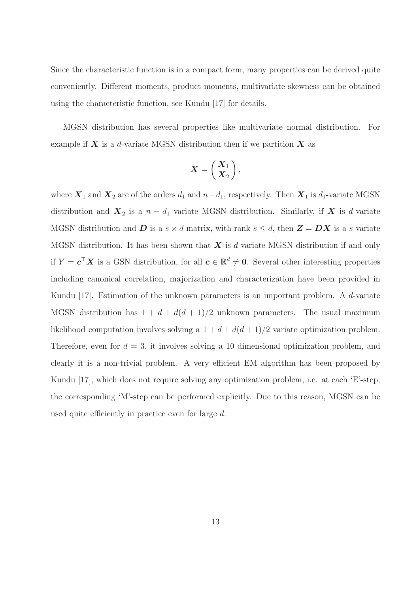Since the characteristic function is in a compact form, many properties can be derived quite conveniently. Different moments, product moments, multivariate skewness can be obtained using the characteristic function, see Kundu [17] for details.

MGSN distribution has several properties like multivariate normal distribution. For example if  $X$  is a d-variate MGSN distribution then if we partition  $X$  as

$$
\boldsymbol{X} = \left(\begin{array}{c} \boldsymbol{X}_1 \\ \boldsymbol{X}_2 \end{array}\right),
$$

where  $X_1$  and  $X_2$  are of the orders  $d_1$  and  $n-d_1$ , respectively. Then  $X_1$  is  $d_1$ -variate MGSN distribution and  $X_2$  is a  $n - d_1$  variate MGSN distribution. Similarly, if X is d-variate MGSN distribution and  $\boldsymbol{D}$  is a  $s \times d$  matrix, with rank  $s \leq d$ , then  $\boldsymbol{Z} = \boldsymbol{D}\boldsymbol{X}$  is a s-variate MGSN distribution. It has been shown that  $X$  is d-variate MGSN distribution if and only if  $Y = \mathbf{c}^\top \mathbf{X}$  is a GSN distribution, for all  $\mathbf{c} \in \mathbb{R}^d \neq \mathbf{0}$ . Several other interesting properties including canonical correlation, majorization and characterization have been provided in Kundu [17]. Estimation of the unknown parameters is an important problem. A d-variate MGSN distribution has  $1 + d + d(d + 1)/2$  unknown parameters. The usual maximum likelihood computation involves solving a  $1 + d + d(d+1)/2$  variate optimization problem. Therefore, even for  $d = 3$ , it involves solving a 10 dimensional optimization problem, and clearly it is a non-trivial problem. A very efficient EM algorithm has been proposed by Kundu [17], which does not require solving any optimization problem, i.e. at each 'E'-step, the corresponding 'M'-step can be performed explicitly. Due to this reason, MGSN can be used quite efficiently in practice even for large d.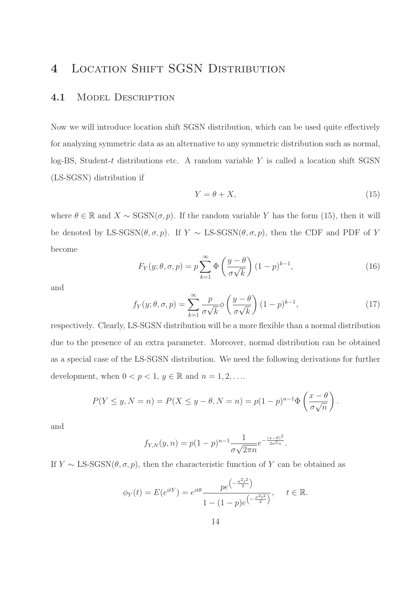# 4 Location Shift SGSN Distribution

### 4.1 MODEL DESCRIPTION

Now we will introduce location shift SGSN distribution, which can be used quite effectively for analyzing symmetric data as an alternative to any symmetric distribution such as normal, log-BS, Student-t distributions etc. A random variable  $Y$  is called a location shift SGSN (LS-SGSN) distribution if

$$
Y = \theta + X,\tag{15}
$$

where  $\theta \in \mathbb{R}$  and  $X \sim \text{SGSN}(\sigma, p)$ . If the random variable Y has the form (15), then it will be denoted by LS-SGSN( $\theta, \sigma, p$ ). If Y ~ LS-SGSN( $\theta, \sigma, p$ ), then the CDF and PDF of Y become

$$
F_Y(y; \theta, \sigma, p) = p \sum_{k=1}^{\infty} \Phi\left(\frac{y - \theta}{\sigma \sqrt{k}}\right) (1 - p)^{k-1},\tag{16}
$$

and

$$
f_Y(y; \theta, \sigma, p) = \sum_{k=1}^{\infty} \frac{p}{\sigma \sqrt{k}} \phi \left( \frac{y - \theta}{\sigma \sqrt{k}} \right) (1 - p)^{k - 1},\tag{17}
$$

respectively. Clearly, LS-SGSN distribution will be a more flexible than a normal distribution due to the presence of an extra parameter. Moreover, normal distribution can be obtained as a special case of the LS-SGSN distribution. We need the following derivations for further development, when  $0 < p < 1$ ,  $y \in \mathbb{R}$  and  $n = 1, 2, \ldots$ .

$$
P(Y \le y, N = n) = P(X \le y - \theta, N = n) = p(1 - p)^{n-1} \Phi\left(\frac{x - \theta}{\sigma \sqrt{n}}\right).
$$

and

$$
f_{Y,N}(y,n) = p(1-p)^{n-1} \frac{1}{\sigma \sqrt{2\pi n}} e^{-\frac{(x-\theta)^2}{2\sigma^2 n}}.
$$

If  $Y \sim \text{LS-SGSN}(\theta, \sigma, p)$ , then the characteristic function of Y can be obtained as

$$
\phi_Y(t) = E(e^{itY}) = e^{it\theta} \frac{pe^{\left(-\frac{\sigma^2 t^2}{2}\right)}}{1 - (1 - p)e^{\left(-\frac{\sigma^2 t^2}{2}\right)}}, \quad t \in \mathbb{R}.
$$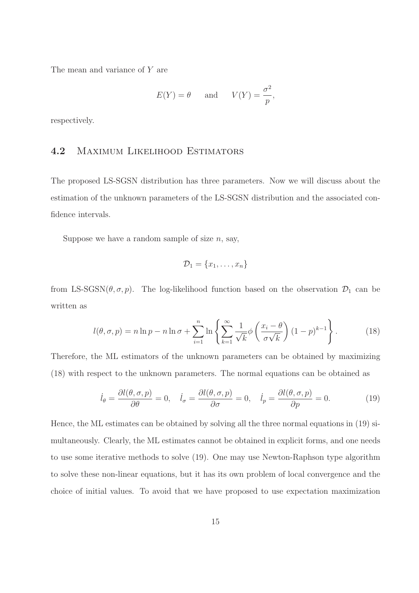The mean and variance of Y are

$$
E(Y) = \theta
$$
 and  $V(Y) = \frac{\sigma^2}{p}$ ,

respectively.

### 4.2 Maximum Likelihood Estimators

The proposed LS-SGSN distribution has three parameters. Now we will discuss about the estimation of the unknown parameters of the LS-SGSN distribution and the associated confidence intervals.

Suppose we have a random sample of size  $n$ , say,

$$
\mathcal{D}_1 = \{x_1, \ldots, x_n\}
$$

from LS-SGSN( $\theta$ ,  $\sigma$ ,  $p$ ). The log-likelihood function based on the observation  $\mathcal{D}_1$  can be written as

$$
l(\theta, \sigma, p) = n \ln p - n \ln \sigma + \sum_{i=1}^{n} \ln \left\{ \sum_{k=1}^{\infty} \frac{1}{\sqrt{k}} \phi \left( \frac{x_i - \theta}{\sigma \sqrt{k}} \right) (1 - p)^{k-1} \right\}.
$$
 (18)

Therefore, the ML estimators of the unknown parameters can be obtained by maximizing (18) with respect to the unknown parameters. The normal equations can be obtained as

$$
\dot{l}_{\theta} = \frac{\partial l(\theta, \sigma, p)}{\partial \theta} = 0, \quad \dot{l}_{\sigma} = \frac{\partial l(\theta, \sigma, p)}{\partial \sigma} = 0, \quad \dot{l}_{p} = \frac{\partial l(\theta, \sigma, p)}{\partial p} = 0.
$$
 (19)

Hence, the ML estimates can be obtained by solving all the three normal equations in (19) simultaneously. Clearly, the ML estimates cannot be obtained in explicit forms, and one needs to use some iterative methods to solve (19). One may use Newton-Raphson type algorithm to solve these non-linear equations, but it has its own problem of local convergence and the choice of initial values. To avoid that we have proposed to use expectation maximization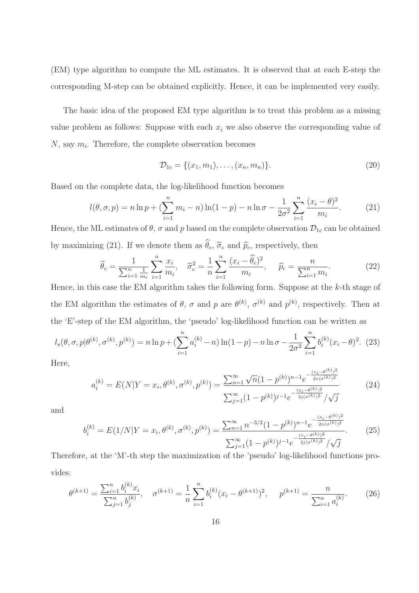(EM) type algorithm to compute the ML estimates. It is observed that at each E-step the corresponding M-step can be obtained explicitly. Hence, it can be implemented very easily.

The basic idea of the proposed EM type algorithm is to treat this problem as a missing value problem as follows: Suppose with each  $x_i$  we also observe the corresponding value of  $N$ , say  $m_i$ . Therefore, the complete observation becomes

$$
\mathcal{D}_{1c} = \{(x_1, m_1), \dots, (x_n, m_n)\}.
$$
\n(20)

Based on the complete data, the log-likelihood function becomes

$$
l(\theta, \sigma, p) = n \ln p + \left(\sum_{i=1}^{n} m_i - n\right) \ln(1-p) - n \ln \sigma - \frac{1}{2\sigma^2} \sum_{i=1}^{n} \frac{(x_i - \theta)^2}{m_i}.
$$
 (21)

Hence, the ML estimates of  $\theta$ ,  $\sigma$  and  $p$  based on the complete observation  $\mathcal{D}_{1c}$  can be obtained by maximizing (21). If we denote them as  $\hat{\theta}_c$ ,  $\hat{\sigma}_c$  and  $\hat{p}_c$ , respectively, then

$$
\widehat{\theta}_c = \frac{1}{\sum_{i=1}^n \frac{1}{m_i}} \sum_{i=1}^n \frac{x_i}{m_i}, \quad \widehat{\sigma}_c^2 = \frac{1}{n} \sum_{i=1}^n \frac{(x_i - \widehat{\theta}_c)^2}{m_i}, \quad \widehat{p}_c = \frac{n}{\sum_{i=1}^n m_i}.
$$
 (22)

Hence, in this case the EM algorithm takes the following form. Suppose at the k-th stage of the EM algorithm the estimates of  $\theta$ ,  $\sigma$  and  $p$  are  $\theta^{(k)}$ ,  $\sigma^{(k)}$  and  $p^{(k)}$ , respectively. Then at the 'E'-step of the EM algorithm, the 'pseudo' log-likelihood function can be written as

$$
l_s(\theta, \sigma, p | \theta^{(k)}, \sigma^{(k)}, p^{(k)}) = n \ln p + \left(\sum_{i=1}^n a_i^{(k)} - n\right) \ln(1-p) - n \ln \sigma - \frac{1}{2\sigma^2} \sum_{i=1}^n b_i^{(k)} (x_i - \theta)^2.
$$
 (23)

Here,

$$
a_i^{(k)} = E(N|Y = x_i, \theta^{(k)}, \sigma^{(k)}, p^{(k)}) = \frac{\sum_{n=1}^{\infty} \sqrt{n} (1 - p^{(k)})^{n-1} e^{-\frac{(x_i - \theta^{(k)})^2}{2n(\sigma^{(k)})^2}}}{\sum_{j=1}^{\infty} (1 - p^{(k)})^{j-1} e^{-\frac{(x_i - \theta^{(k)})^2}{2j(\sigma^{(k)})^2}} / \sqrt{j}}
$$
(24)

and

$$
b_i^{(k)} = E(1/N|Y = x_i, \theta^{(k)}, \sigma^{(k)}, p^{(k)}) = \frac{\sum_{n=1}^{\infty} n^{-3/2} (1 - p^{(k)})^{n-1} e^{-\frac{(x_i - \theta^{(k)})^2}{2n(\sigma^{(k)})^2}}}{\sum_{j=1}^{\infty} (1 - p^{(k)})^{j-1} e^{-\frac{(x_i - \theta^{(k)})^2}{2j(\sigma^{(k)})^2}} / \sqrt{j}}.
$$
(25)

Therefore, at the 'M'-th step the maximization of the 'pseudo' log-likelihood functions provides:

$$
\theta^{(k+1)} = \frac{\sum_{i=1}^{n} b_i^{(k)} x_i}{\sum_{j=1}^{n} b_j^{(k)}}, \quad \sigma^{(k+1)} = \frac{1}{n} \sum_{i=1}^{n} b_i^{(k)} (x_i - \theta^{(k+1)})^2, \quad p^{(k+1)} = \frac{n}{\sum_{i=1}^{n} a_i^{(k)}}.
$$
 (26)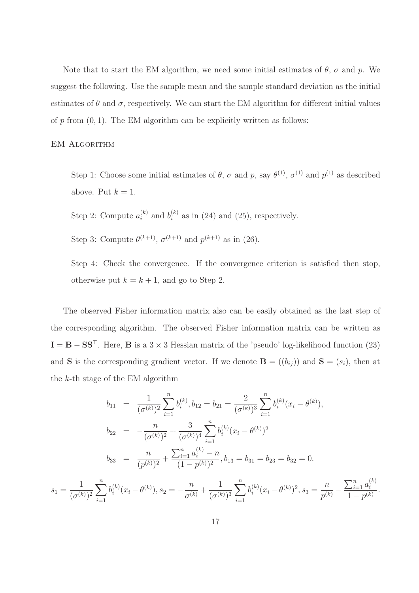Note that to start the EM algorithm, we need some initial estimates of  $\theta$ ,  $\sigma$  and  $p$ . We suggest the following. Use the sample mean and the sample standard deviation as the initial estimates of  $\theta$  and  $\sigma$ , respectively. We can start the EM algorithm for different initial values of p from  $(0, 1)$ . The EM algorithm can be explicitly written as follows:

EM Algorithm

Step 1: Choose some initial estimates of  $\theta$ ,  $\sigma$  and  $p$ , say  $\theta^{(1)}$ ,  $\sigma^{(1)}$  and  $p^{(1)}$  as described above. Put  $k = 1$ .

Step 2: Compute  $a_i^{(k)}$  $i^{(k)}$  and  $b_i^{(k)}$  $i_i^{(k)}$  as in (24) and (25), respectively.

Step 3: Compute  $\theta^{(k+1)}$ ,  $\sigma^{(k+1)}$  and  $p^{(k+1)}$  as in (26).

Step 4: Check the convergence. If the convergence criterion is satisfied then stop, otherwise put  $k = k + 1$ , and go to Step 2.

The observed Fisher information matrix also can be easily obtained as the last step of the corresponding algorithm. The observed Fisher information matrix can be written as  $I = B - SS^{\top}$ . Here, B is a 3 × 3 Hessian matrix of the 'pseudo' log-likelihood function (23) and **S** is the corresponding gradient vector. If we denote **B** =  $((b_{ij}))$  and **S** =  $(s_i)$ , then at the  $k$ -th stage of the EM algorithm

$$
b_{11} = \frac{1}{(\sigma^{(k)})^2} \sum_{i=1}^n b_i^{(k)}, b_{12} = b_{21} = \frac{2}{(\sigma^{(k)})^3} \sum_{i=1}^n b_i^{(k)} (x_i - \theta^{(k)}),
$$
  
\n
$$
b_{22} = -\frac{n}{(\sigma^{(k)})^2} + \frac{3}{(\sigma^{(k)})^4} \sum_{i=1}^n b_i^{(k)} (x_i - \theta^{(k)})^2
$$
  
\n
$$
b_{33} = \frac{n}{(p^{(k)})^2} + \frac{\sum_{i=1}^n a_i^{(k)} - n}{(1 - p^{(k)})^2}, b_{13} = b_{31} = b_{23} = b_{32} = 0.
$$

$$
s_1 = \frac{1}{(\sigma^{(k)})^2} \sum_{i=1}^n b_i^{(k)} (x_i - \theta^{(k)}), s_2 = -\frac{n}{\sigma^{(k)}} + \frac{1}{(\sigma^{(k)})^3} \sum_{i=1}^n b_i^{(k)} (x_i - \theta^{(k)})^2, s_3 = \frac{n}{p^{(k)}} - \frac{\sum_{i=1}^n a_i^{(k)}}{1 - p^{(k)}}.
$$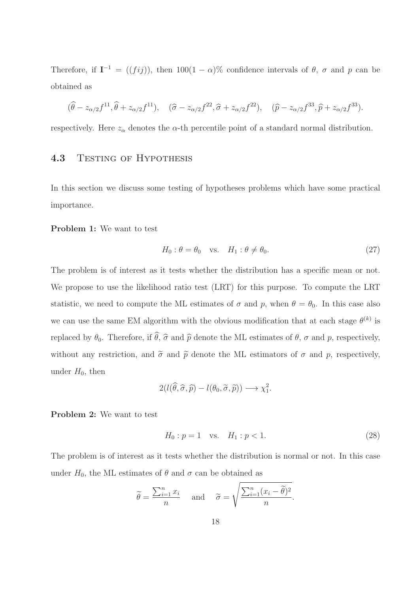Therefore, if  $I^{-1} = ((fij))$ , then  $100(1-\alpha)\%$  confidence intervals of  $\theta$ ,  $\sigma$  and  $p$  can be obtained as

$$
(\hat{\theta} - z_{\alpha/2}f^{11}, \hat{\theta} + z_{\alpha/2}f^{11}), \quad (\hat{\sigma} - z_{\alpha/2}f^{22}, \hat{\sigma} + z_{\alpha/2}f^{22}), \quad (\hat{p} - z_{\alpha/2}f^{33}, \hat{p} + z_{\alpha/2}f^{33}).
$$

respectively. Here  $z_{\alpha}$  denotes the  $\alpha$ -th percentile point of a standard normal distribution.

### 4.3 TESTING OF HYPOTHESIS

In this section we discuss some testing of hypotheses problems which have some practical importance.

Problem 1: We want to test

$$
H_0: \theta = \theta_0 \quad \text{vs.} \quad H_1: \theta \neq \theta_0. \tag{27}
$$

The problem is of interest as it tests whether the distribution has a specific mean or not. We propose to use the likelihood ratio test (LRT) for this purpose. To compute the LRT statistic, we need to compute the ML estimates of  $\sigma$  and p, when  $\theta = \theta_0$ . In this case also we can use the same EM algorithm with the obvious modification that at each stage  $\theta^{(k)}$  is replaced by  $\theta_0$ . Therefore, if  $\widehat{\theta}$ ,  $\widehat{\sigma}$  and  $\widehat{p}$  denote the ML estimates of  $\theta$ ,  $\sigma$  and  $p$ , respectively, without any restriction, and  $\tilde{\sigma}$  and  $\tilde{p}$  denote the ML estimators of  $\sigma$  and  $p$ , respectively, under  $H_0$ , then

$$
2(l(\widehat{\theta},\widehat{\sigma},\widehat{p})-l(\theta_0,\widetilde{\sigma},\widetilde{p}))\longrightarrow \chi_1^2.
$$

Problem 2: We want to test

$$
H_0: p = 1 \quad \text{vs.} \quad H_1: p < 1. \tag{28}
$$

The problem is of interest as it tests whether the distribution is normal or not. In this case under  $H_0$ , the ML estimates of  $\theta$  and  $\sigma$  can be obtained as

$$
\widetilde{\theta} = \frac{\sum_{i=1}^{n} x_i}{n}
$$
 and  $\widetilde{\sigma} = \sqrt{\frac{\sum_{i=1}^{n} (x_i - \widetilde{\theta})^2}{n}}$ .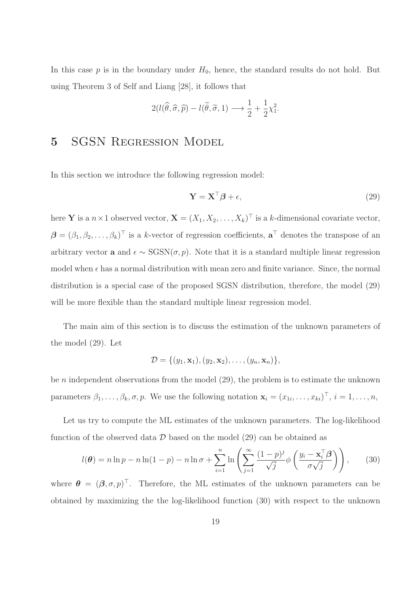In this case  $p$  is in the boundary under  $H_0$ , hence, the standard results do not hold. But using Theorem 3 of Self and Liang [28], it follows that

$$
2(l(\widehat{\theta}, \widehat{\sigma}, \widehat{p}) - l(\widetilde{\theta}, \widetilde{\sigma}, 1) \longrightarrow \frac{1}{2} + \frac{1}{2}\chi_1^2.
$$

# 5 SGSN REGRESSION MODEL

In this section we introduce the following regression model:

$$
\mathbf{Y} = \mathbf{X}^{\top} \boldsymbol{\beta} + \epsilon,\tag{29}
$$

here **Y** is a  $n \times 1$  observed vector,  $\mathbf{X} = (X_1, X_2, \dots, X_k)^\top$  is a k-dimensional covariate vector,  $\boldsymbol{\beta} = (\beta_1, \beta_2, \dots, \beta_k)^\top$  is a k-vector of regression coefficients,  $\mathbf{a}^\top$  denotes the transpose of an arbitrary vector **a** and  $\epsilon \sim \text{SGSN}(\sigma, p)$ . Note that it is a standard multiple linear regression model when  $\epsilon$  has a normal distribution with mean zero and finite variance. Since, the normal distribution is a special case of the proposed SGSN distribution, therefore, the model (29) will be more flexible than the standard multiple linear regression model.

The main aim of this section is to discuss the estimation of the unknown parameters of the model (29). Let

$$
\mathcal{D} = \{ (y_1, \mathbf{x}_1), (y_2, \mathbf{x}_2), \ldots, (y_n, \mathbf{x}_n) \},
$$

be *n* independent observations from the model  $(29)$ , the problem is to estimate the unknown parameters  $\beta_1, \ldots, \beta_k, \sigma, p$ . We use the following notation  $\mathbf{x}_i = (x_{1i}, \ldots, x_{ki})^\top$ ,  $i = 1, \ldots, n$ ,

Let us try to compute the ML estimates of the unknown parameters. The log-likelihood function of the observed data  $\mathcal D$  based on the model (29) can be obtained as

$$
l(\boldsymbol{\theta}) = n \ln p - n \ln(1 - p) - n \ln \sigma + \sum_{i=1}^{n} \ln \left( \sum_{j=1}^{\infty} \frac{(1 - p)^j}{\sqrt{j}} \phi \left( \frac{y_i - \mathbf{x}_i^{\top} \boldsymbol{\beta}}{\sigma \sqrt{j}} \right) \right), \qquad (30)
$$

where  $\boldsymbol{\theta} = (\boldsymbol{\beta}, \sigma, p)^\top$ . Therefore, the ML estimates of the unknown parameters can be obtained by maximizing the the log-likelihood function (30) with respect to the unknown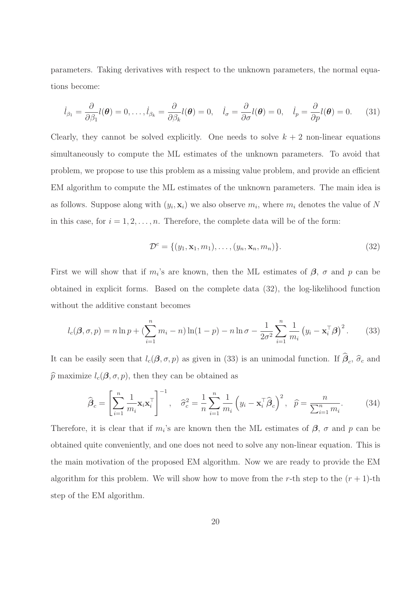parameters. Taking derivatives with respect to the unknown parameters, the normal equations become:

$$
\dot{l}_{\beta_1} = \frac{\partial}{\partial \beta_1} l(\boldsymbol{\theta}) = 0, \dots, \dot{l}_{\beta_k} = \frac{\partial}{\partial \beta_k} l(\boldsymbol{\theta}) = 0, \quad \dot{l}_{\sigma} = \frac{\partial}{\partial \sigma} l(\boldsymbol{\theta}) = 0, \quad \dot{l}_p = \frac{\partial}{\partial p} l(\boldsymbol{\theta}) = 0. \tag{31}
$$

Clearly, they cannot be solved explicitly. One needs to solve  $k + 2$  non-linear equations simultaneously to compute the ML estimates of the unknown parameters. To avoid that problem, we propose to use this problem as a missing value problem, and provide an efficient EM algorithm to compute the ML estimates of the unknown parameters. The main idea is as follows. Suppose along with  $(y_i, \mathbf{x}_i)$  we also observe  $m_i$ , where  $m_i$  denotes the value of N in this case, for  $i = 1, 2, \ldots, n$ . Therefore, the complete data will be of the form:

$$
\mathcal{D}^c = \{ (y_1, \mathbf{x}_1, m_1), \dots, (y_n, \mathbf{x}_n, m_n) \}.
$$
\n
$$
(32)
$$

First we will show that if  $m_i$ 's are known, then the ML estimates of  $\beta$ ,  $\sigma$  and  $p$  can be obtained in explicit forms. Based on the complete data (32), the log-likelihood function without the additive constant becomes

$$
l_c(\boldsymbol{\beta}, \sigma, p) = n \ln p + \left(\sum_{i=1}^n m_i - n\right) \ln(1 - p) - n \ln \sigma - \frac{1}{2\sigma^2} \sum_{i=1}^n \frac{1}{m_i} \left(y_i - \mathbf{x}_i^{\top} \boldsymbol{\beta}\right)^2. \tag{33}
$$

It can be easily seen that  $l_c(\mathcal{B}, \sigma, p)$  as given in (33) is an unimodal function. If  $\mathcal{B}_c$ ,  $\widehat{\sigma}_c$  and  $\widehat{p}$  maximize  $l_c(\boldsymbol{\beta}, \sigma, p)$ , then they can be obtained as

$$
\widehat{\boldsymbol{\beta}}_c = \left[ \sum_{i=1}^n \frac{1}{m_i} \mathbf{x}_i \mathbf{x}_i^\top \right]^{-1}, \quad \widehat{\sigma}_c^2 = \frac{1}{n} \sum_{i=1}^n \frac{1}{m_i} \left( y_i - \mathbf{x}_i^\top \widehat{\boldsymbol{\beta}}_c \right)^2, \quad \widehat{p} = \frac{n}{\sum_{i=1}^n m_i}.
$$
 (34)

Therefore, it is clear that if  $m_i$ 's are known then the ML estimates of  $\beta$ ,  $\sigma$  and  $p$  can be obtained quite conveniently, and one does not need to solve any non-linear equation. This is the main motivation of the proposed EM algorithm. Now we are ready to provide the EM algorithm for this problem. We will show how to move from the r-th step to the  $(r + 1)$ -th step of the EM algorithm.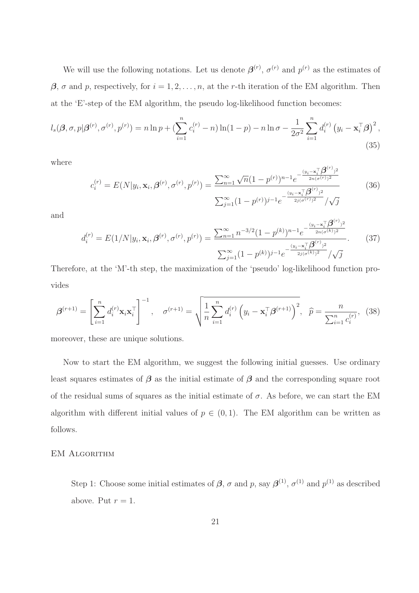We will use the following notations. Let us denote  $\boldsymbol{\beta}^{(r)}$ ,  $\sigma^{(r)}$  and  $p^{(r)}$  as the estimates of  $\beta$ ,  $\sigma$  and  $p$ , respectively, for  $i = 1, 2, ..., n$ , at the r-th iteration of the EM algorithm. Then at the 'E'-step of the EM algorithm, the pseudo log-likelihood function becomes:

$$
l_s(\boldsymbol{\beta}, \sigma, p | \boldsymbol{\beta}^{(r)}, \sigma^{(r)}, p^{(r)}) = n \ln p + \left(\sum_{i=1}^n c_i^{(r)} - n\right) \ln(1-p) - n \ln \sigma - \frac{1}{2\sigma^2} \sum_{i=1}^n d_i^{(r)} \left(y_i - \mathbf{x}_i^{\top} \boldsymbol{\beta}\right)^2,
$$
\n(35)

where

$$
c_i^{(r)} = E(N|y_i, \mathbf{x}_i, \boldsymbol{\beta}^{(r)}, \sigma^{(r)}, p^{(r)}) = \frac{\sum_{n=1}^{\infty} \sqrt{n} (1 - p^{(r)})^{n-1} e^{-\frac{(y_i - \mathbf{x}_i^{\top} \boldsymbol{\beta}^{(r)})^2}{2n(\sigma^{(r)})^2}}}{\sum_{j=1}^{\infty} (1 - p^{(r)})^{j-1} e^{-\frac{(y_i - \mathbf{x}_i^{\top} \boldsymbol{\beta}^{(r)})^2}{2j(\sigma^{(r)})^2}} / \sqrt{j}}
$$
(36)

and

$$
d_i^{(r)} = E(1/N|y_i, \mathbf{x}_i, \boldsymbol{\beta}^{(r)}, \sigma^{(r)}, p^{(r)}) = \frac{\sum_{n=1}^{\infty} n^{-3/2} (1 - p^{(k)})^{n-1} e^{-\frac{(y_i - \mathbf{x}_i^{\top} \boldsymbol{\beta}^{(r)})^2}{2n(\sigma^{(k)})^2}}}{\sum_{j=1}^{\infty} (1 - p^{(k)})^{j-1} e^{-\frac{(y_i - \mathbf{x}_i^{\top} \boldsymbol{\beta}^{(r)})^2}{2j(\sigma^{(k)})^2}} / \sqrt{j}}.
$$
(37)

Therefore, at the 'M'-th step, the maximization of the 'pseudo' log-likelihood function provides

$$
\boldsymbol{\beta}^{(r+1)} = \left[ \sum_{i=1}^{n} d_i^{(r)} \mathbf{x}_i \mathbf{x}_i^{\top} \right]^{-1}, \quad \boldsymbol{\sigma}^{(r+1)} = \sqrt{\frac{1}{n} \sum_{i=1}^{n} d_i^{(r)} \left( y_i - \mathbf{x}_i^{\top} \boldsymbol{\beta}^{(r+1)} \right)^2}, \quad \hat{p} = \frac{n}{\sum_{i=1}^{n} c_i^{(r)}}, \quad (38)
$$

moreover, these are unique solutions.

Now to start the EM algorithm, we suggest the following initial guesses. Use ordinary least squares estimates of  $\beta$  as the initial estimate of  $\beta$  and the corresponding square root of the residual sums of squares as the initial estimate of  $\sigma$ . As before, we can start the EM algorithm with different initial values of  $p \in (0,1)$ . The EM algorithm can be written as follows.

#### EM Algorithm

Step 1: Choose some initial estimates of  $\beta$ ,  $\sigma$  and  $p$ , say  $\beta^{(1)}$ ,  $\sigma^{(1)}$  and  $p^{(1)}$  as described above. Put  $r = 1$ .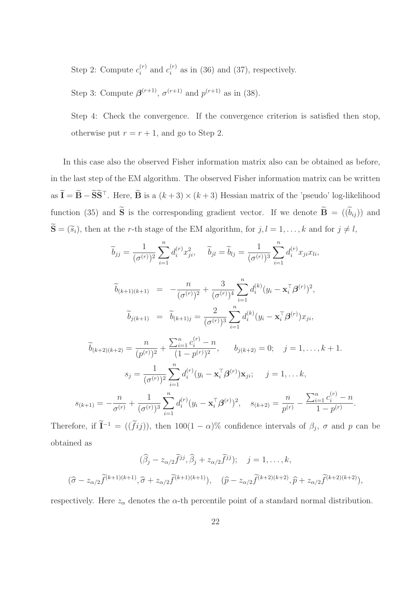Step 2: Compute  $c_i^{(r)}$  $i^{(r)}$  and  $c_i^{(r)}$  $i_i^{(r)}$  as in (36) and (37), respectively.

Step 3: Compute  $\boldsymbol{\beta}^{(r+1)}$ ,  $\sigma^{(r+1)}$  and  $p^{(r+1)}$  as in (38).

Step 4: Check the convergence. If the convergence criterion is satisfied then stop, otherwise put  $r = r + 1$ , and go to Step 2.

In this case also the observed Fisher information matrix also can be obtained as before, in the last step of the EM algorithm. The observed Fisher information matrix can be written as  $\tilde{\mathbf{I}} = \tilde{\mathbf{B}} - \tilde{\mathbf{S}} \tilde{\mathbf{S}}^{\top}$ . Here,  $\tilde{\mathbf{B}}$  is a  $(k+3) \times (k+3)$  Hessian matrix of the 'pseudo' log-likelihood function (35) and  $\tilde{\mathbf{S}}$  is the corresponding gradient vector. If we denote  $\tilde{\mathbf{B}} = ((\tilde{b}_{ij}))$  and  $\widetilde{\mathbf{S}} = (\widetilde{s}_i)$ , then at the r-th stage of the EM algorithm, for  $j, l = 1, ..., k$  and for  $j \neq l$ ,

$$
\widetilde{b}_{jj} = \frac{1}{(\sigma^{(r)})^2} \sum_{i=1}^n d_i^{(r)} x_{ji}^2, \quad \widetilde{b}_{jl} = \widetilde{b}_{lj} = \frac{1}{(\sigma^{(r)})^3} \sum_{i=1}^n d_i^{(r)} x_{ji} x_{li},
$$
\n
$$
\widetilde{b}_{(k+1)(k+1)} = -\frac{n}{(\sigma^{(r)})^2} + \frac{3}{(\sigma^{(r)})^4} \sum_{i=1}^n d_i^{(k)} (y_i - \mathbf{x}_i^{\top} \boldsymbol{\beta}^{(r)})^2,
$$
\n
$$
\widetilde{b}_{j(k+1)} = \widetilde{b}_{(k+1)j} = \frac{2}{(\sigma^{(r)})^3} \sum_{i=1}^n d_i^{(k)} (y_i - \mathbf{x}_i^{\top} \boldsymbol{\beta}^{(r)}) x_{ji},
$$
\n
$$
\widetilde{b}_{(k+2)(k+2)} = \frac{n}{(p^{(r)})^2} + \frac{\sum_{i=1}^n c_i^{(r)} - n}{(1 - p^{(r)})^2}, \quad b_{j(k+2)} = 0; \quad j = 1, \dots, k+1.
$$
\n
$$
s_j = \frac{1}{(\sigma^{(r)})^2} \sum_{i=1}^n d_i^{(r)} (y_i - \mathbf{x}_i^{\top} \boldsymbol{\beta}^{(r)}) \mathbf{x}_{ji}; \quad j = 1, \dots, k,
$$

$$
s_{(k+1)} = -\frac{n}{\sigma^{(r)}} + \frac{1}{(\sigma^{(r)})^3} \sum_{i=1}^n d_i^{(r)} (y_i - \mathbf{x}_i^{\top} \boldsymbol{\beta}^{(r)})^2, \quad s_{(k+2)} = \frac{n}{p^{(r)}} - \frac{\sum_{i=1}^n c_i^{(r)} - n}{1 - p^{(r)}}.
$$

Therefore, if  $\tilde{\mathbf{I}}^{-1} = ((\tilde{f}ij))$ , then  $100(1-\alpha)\%$  confidence intervals of  $\beta_j$ ,  $\sigma$  and  $p$  can be obtained as

$$
(\widehat{\beta}_j - z_{\alpha/2} \widetilde{f}^{jj}, \widehat{\beta}_j + z_{\alpha/2} \widetilde{f}^{jj}); \quad j = 1, \dots, k,
$$
  

$$
(\widehat{\sigma} - z_{\alpha/2} \widetilde{f}^{(k+1)(k+1)}, \widehat{\sigma} + z_{\alpha/2} \widetilde{f}^{(k+1)(k+1)}), \quad (\widehat{p} - z_{\alpha/2} \widetilde{f}^{(k+2)(k+2)}, \widehat{p} + z_{\alpha/2} \widetilde{f}^{(k+2)(k+2)}),
$$

respectively. Here  $z_{\alpha}$  denotes the  $\alpha$ -th percentile point of a standard normal distribution.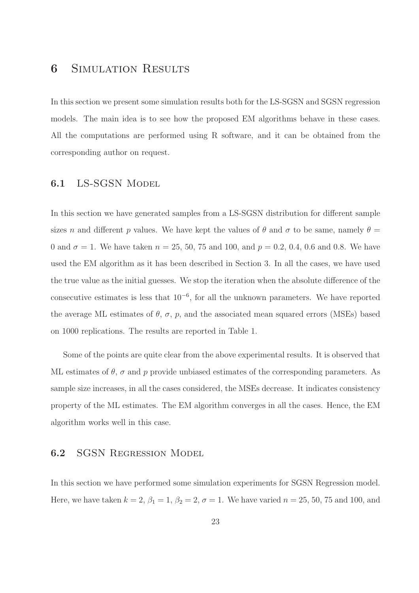# **6** SIMULATION RESULTS

In this section we present some simulation results both for the LS-SGSN and SGSN regression models. The main idea is to see how the proposed EM algorithms behave in these cases. All the computations are performed using R software, and it can be obtained from the corresponding author on request.

### 6.1 LS-SGSN Model

In this section we have generated samples from a LS-SGSN distribution for different sample sizes n and different p values. We have kept the values of  $\theta$  and  $\sigma$  to be same, namely  $\theta =$ 0 and  $\sigma = 1$ . We have taken  $n = 25, 50, 75$  and 100, and  $p = 0.2, 0.4, 0.6$  and 0.8. We have used the EM algorithm as it has been described in Section 3. In all the cases, we have used the true value as the initial guesses. We stop the iteration when the absolute difference of the consecutive estimates is less that 10−<sup>6</sup> , for all the unknown parameters. We have reported the average ML estimates of  $\theta$ ,  $\sigma$ ,  $p$ , and the associated mean squared errors (MSEs) based on 1000 replications. The results are reported in Table 1.

Some of the points are quite clear from the above experimental results. It is observed that ML estimates of  $\theta$ ,  $\sigma$  and p provide unbiased estimates of the corresponding parameters. As sample size increases, in all the cases considered, the MSEs decrease. It indicates consistency property of the ML estimates. The EM algorithm converges in all the cases. Hence, the EM algorithm works well in this case.

### 6.2 SGSN Regression Model

In this section we have performed some simulation experiments for SGSN Regression model. Here, we have taken  $k = 2$ ,  $\beta_1 = 1$ ,  $\beta_2 = 2$ ,  $\sigma = 1$ . We have varied  $n = 25, 50, 75$  and 100, and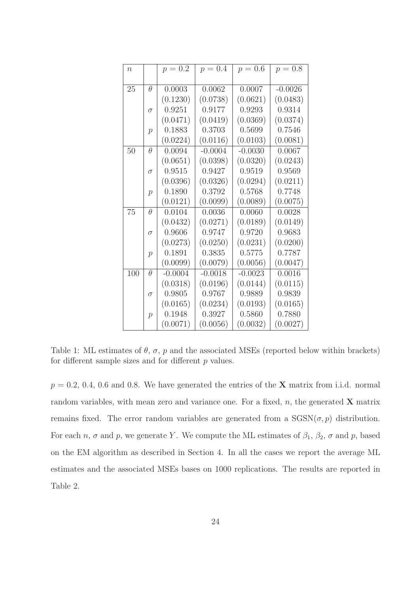| n   |               | $p = 0.2$ | $p = 0.4$ | $p = 0.6$ | $p = 0.8$ |
|-----|---------------|-----------|-----------|-----------|-----------|
|     |               |           |           |           |           |
| 25  | θ             | 0.0003    | 0.0062    | 0.0007    | $-0.0026$ |
|     |               | (0.1230)  | (0.0738)  | (0.0621)  | (0.0483)  |
|     | $\sigma$      | 0.9251    | 0.9177    | 0.9293    | 0.9314    |
|     |               | (0.0471)  | (0.0419)  | (0.0369)  | (0.0374)  |
|     | $\mathcal{p}$ | 0.1883    | 0.3703    | 0.5699    | 0.7546    |
|     |               | (0.0224)  | (0.0116)  | (0.0103)  | (0.0081)  |
| 50  | θ             | 0.0094    | $-0.0004$ | $-0.0030$ | 0.0067    |
|     |               | (0.0651)  | (0.0398)  | (0.0320)  | (0.0243)  |
|     | $\sigma$      | 0.9515    | 0.9427    | 0.9519    | 0.9569    |
|     |               | (0.0396)  | (0.0326)  | (0.0294)  | (0.0211)  |
|     | $\mathcal{p}$ | 0.1890    | 0.3792    | 0.5768    | 0.7748    |
|     |               | (0.0121)  | (0.0099)  | (0.0089)  | (0.0075)  |
| 75  | θ             | 0.0104    | 0.0036    | 0.0060    | 0.0028    |
|     |               | (0.0432)  | (0.0271)  | (0.0189)  | (0.0149)  |
|     | $\sigma$      | 0.9606    | 0.9747    | 0.9720    | 0.9683    |
|     |               | (0.0273)  | (0.0250)  | (0.0231)  | (0.0200)  |
|     | $\mathcal{p}$ | 0.1891    | 0.3835    | 0.5775    | 0.7787    |
|     |               | (0.0099)  | (0.0079)  | (0.0056)  | (0.0047)  |
| 100 | $\theta$      | $-0.0004$ | $-0.0018$ | $-0.0023$ | 0.0016    |
|     |               | (0.0318)  | (0.0196)  | (0.0144)  | (0.0115)  |
|     | $\sigma$      | 0.9805    | 0.9767    | 0.9889    | 0.9839    |
|     |               | (0.0165)  | (0.0234)  | (0.0193)  | (0.0165)  |
|     | $\mathcal{p}$ | 0.1948    | 0.3927    | 0.5860    | 0.7880    |
|     |               | (0.0071)  | (0.0056)  | (0.0032)  | (0.0027)  |

Table 1: ML estimates of  $\theta$ ,  $\sigma$ ,  $p$  and the associated MSEs (reported below within brackets) for different sample sizes and for different  $p$  values.

 $p = 0.2, 0.4, 0.6$  and 0.8. We have generated the entries of the **X** matrix from i.i.d. normal random variables, with mean zero and variance one. For a fixed,  $n$ , the generated  $X$  matrix remains fixed. The error random variables are generated from a  $SGSN(\sigma, p)$  distribution. For each n,  $\sigma$  and p, we generate Y. We compute the ML estimates of  $\beta_1$ ,  $\beta_2$ ,  $\sigma$  and p, based on the EM algorithm as described in Section 4. In all the cases we report the average ML estimates and the associated MSEs bases on 1000 replications. The results are reported in Table 2.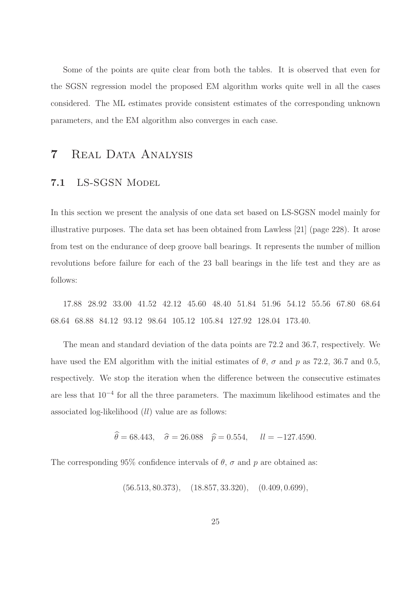Some of the points are quite clear from both the tables. It is observed that even for the SGSN regression model the proposed EM algorithm works quite well in all the cases considered. The ML estimates provide consistent estimates of the corresponding unknown parameters, and the EM algorithm also converges in each case.

# 7 Real Data Analysis

## 7.1 LS-SGSN Model

In this section we present the analysis of one data set based on LS-SGSN model mainly for illustrative purposes. The data set has been obtained from Lawless [21] (page 228). It arose from test on the endurance of deep groove ball bearings. It represents the number of million revolutions before failure for each of the 23 ball bearings in the life test and they are as follows:

17.88 28.92 33.00 41.52 42.12 45.60 48.40 51.84 51.96 54.12 55.56 67.80 68.64 68.64 68.88 84.12 93.12 98.64 105.12 105.84 127.92 128.04 173.40.

The mean and standard deviation of the data points are 72.2 and 36.7, respectively. We have used the EM algorithm with the initial estimates of  $\theta$ ,  $\sigma$  and  $p$  as 72.2, 36.7 and 0.5, respectively. We stop the iteration when the difference between the consecutive estimates are less that 10−<sup>4</sup> for all the three parameters. The maximum likelihood estimates and the associated log-likelihood (ll) value are as follows:

$$
\theta = 68.443
$$
,  $\hat{\sigma} = 26.088$   $\hat{p} = 0.554$ ,  $ll = -127.4590$ .

The corresponding 95% confidence intervals of  $\theta$ ,  $\sigma$  and  $p$  are obtained as:

 $(56.513, 80.373), \quad (18.857, 33.320), \quad (0.409, 0.699),$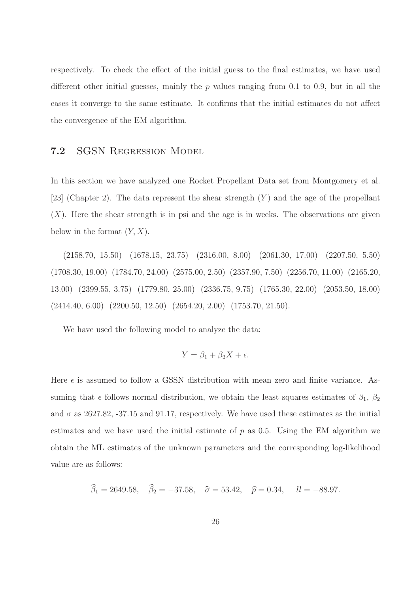respectively. To check the effect of the initial guess to the final estimates, we have used different other initial guesses, mainly the  $p$  values ranging from 0.1 to 0.9, but in all the cases it converge to the same estimate. It confirms that the initial estimates do not affect the convergence of the EM algorithm.

### 7.2 SGSN Regression Model

In this section we have analyzed one Rocket Propellant Data set from Montgomery et al. [23] (Chapter 2). The data represent the shear strength  $(Y)$  and the age of the propellant  $(X)$ . Here the shear strength is in psi and the age is in weeks. The observations are given below in the format  $(Y, X)$ .

(2158.70, 15.50) (1678.15, 23.75) (2316.00, 8.00) (2061.30, 17.00) (2207.50, 5.50) (1708.30, 19.00) (1784.70, 24.00) (2575.00, 2.50) (2357.90, 7.50) (2256.70, 11.00) (2165.20, 13.00) (2399.55, 3.75) (1779.80, 25.00) (2336.75, 9.75) (1765.30, 22.00) (2053.50, 18.00)  $(2414.40, 6.00)$   $(2200.50, 12.50)$   $(2654.20, 2.00)$   $(1753.70, 21.50)$ .

We have used the following model to analyze the data:

$$
Y = \beta_1 + \beta_2 X + \epsilon.
$$

Here  $\epsilon$  is assumed to follow a GSSN distribution with mean zero and finite variance. Assuming that  $\epsilon$  follows normal distribution, we obtain the least squares estimates of  $\beta_1$ ,  $\beta_2$ and  $\sigma$  as 2627.82, -37.15 and 91.17, respectively. We have used these estimates as the initial estimates and we have used the initial estimate of  $p$  as 0.5. Using the EM algorithm we obtain the ML estimates of the unknown parameters and the corresponding log-likelihood value are as follows:

$$
\hat{\beta}_1 = 2649.58
$$
,  $\hat{\beta}_2 = -37.58$ ,  $\hat{\sigma} = 53.42$ ,  $\hat{p} = 0.34$ ,  $ll = -88.97$ .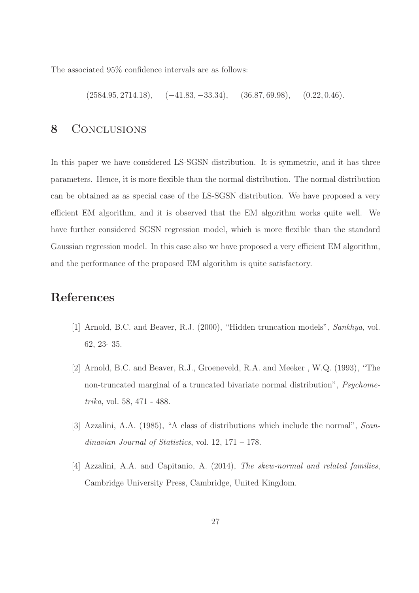The associated 95% confidence intervals are as follows:

 $(2584.95, 2714.18), \quad (-41.83, -33.34), \quad (36.87, 69.98), \quad (0.22, 0.46).$ 

## 8 CONCLUSIONS

In this paper we have considered LS-SGSN distribution. It is symmetric, and it has three parameters. Hence, it is more flexible than the normal distribution. The normal distribution can be obtained as as special case of the LS-SGSN distribution. We have proposed a very efficient EM algorithm, and it is observed that the EM algorithm works quite well. We have further considered SGSN regression model, which is more flexible than the standard Gaussian regression model. In this case also we have proposed a very efficient EM algorithm, and the performance of the proposed EM algorithm is quite satisfactory.

# References

- [1] Arnold, B.C. and Beaver, R.J. (2000), "Hidden truncation models", Sankhya, vol. 62, 23- 35.
- [2] Arnold, B.C. and Beaver, R.J., Groeneveld, R.A. and Meeker , W.Q. (1993), "The non-truncated marginal of a truncated bivariate normal distribution", Psychometrika, vol. 58, 471 - 488.
- [3] Azzalini, A.A. (1985), "A class of distributions which include the normal", Scandinavian Journal of Statistics, vol.  $12, 171 - 178$ .
- [4] Azzalini, A.A. and Capitanio, A. (2014), The skew-normal and related families, Cambridge University Press, Cambridge, United Kingdom.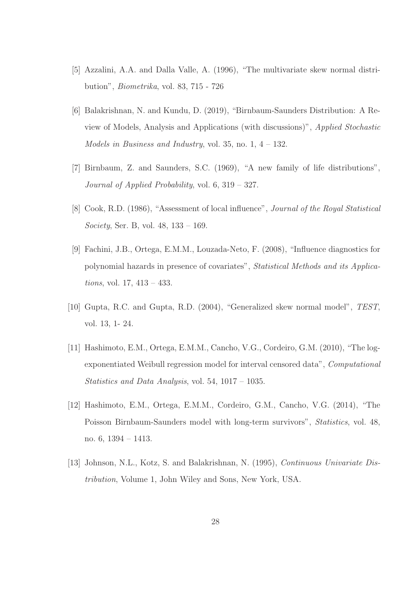- [5] Azzalini, A.A. and Dalla Valle, A. (1996), "The multivariate skew normal distribution", Biometrika, vol. 83, 715 - 726
- [6] Balakrishnan, N. and Kundu, D. (2019), "Birnbaum-Saunders Distribution: A Review of Models, Analysis and Applications (with discussions)", Applied Stochastic Models in Business and Industry, vol. 35, no.  $1, 4 - 132$ .
- [7] Birnbaum, Z. and Saunders, S.C. (1969), "A new family of life distributions", Journal of Applied Probability, vol. 6, 319 – 327.
- [8] Cook, R.D. (1986), "Assessment of local influence", Journal of the Royal Statistical Society, Ser. B, vol. 48, 133 – 169.
- [9] Fachini, J.B., Ortega, E.M.M., Louzada-Neto, F. (2008), "Influence diagnostics for polynomial hazards in presence of covariates", Statistical Methods and its Applications, vol. 17, 413 – 433.
- [10] Gupta, R.C. and Gupta, R.D. (2004), "Generalized skew normal model", TEST, vol. 13, 1- 24.
- [11] Hashimoto, E.M., Ortega, E.M.M., Cancho, V.G., Cordeiro, G.M. (2010), "The logexponentiated Weibull regression model for interval censored data", Computational Statistics and Data Analysis, vol. 54, 1017 – 1035.
- [12] Hashimoto, E.M., Ortega, E.M.M., Cordeiro, G.M., Cancho, V.G. (2014), "The Poisson Birnbaum-Saunders model with long-term survivors", Statistics, vol. 48, no. 6, 1394 – 1413.
- [13] Johnson, N.L., Kotz, S. and Balakrishnan, N. (1995), Continuous Univariate Distribution, Volume 1, John Wiley and Sons, New York, USA.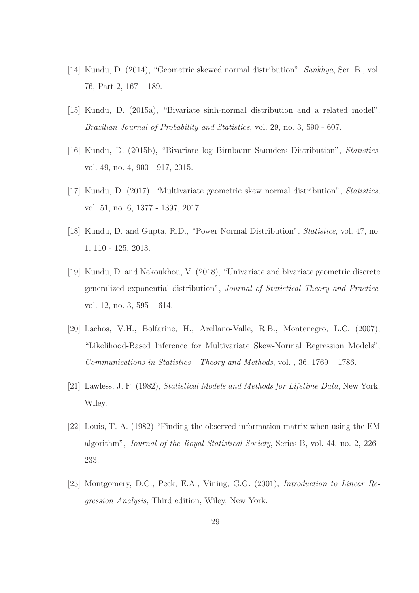- [14] Kundu, D. (2014), "Geometric skewed normal distribution", Sankhya, Ser. B., vol. 76, Part 2, 167 – 189.
- [15] Kundu, D. (2015a), "Bivariate sinh-normal distribution and a related model", Brazilian Journal of Probability and Statistics, vol. 29, no. 3, 590 - 607.
- [16] Kundu, D. (2015b), "Bivariate log Birnbaum-Saunders Distribution", Statistics, vol. 49, no. 4, 900 - 917, 2015.
- [17] Kundu, D. (2017), "Multivariate geometric skew normal distribution", Statistics, vol. 51, no. 6, 1377 - 1397, 2017.
- [18] Kundu, D. and Gupta, R.D., "Power Normal Distribution", Statistics, vol. 47, no. 1, 110 - 125, 2013.
- [19] Kundu, D. and Nekoukhou, V. (2018), "Univariate and bivariate geometric discrete generalized exponential distribution", Journal of Statistical Theory and Practice, vol. 12, no. 3, 595 – 614.
- [20] Lachos, V.H., Bolfarine, H., Arellano-Valle, R.B., Montenegro, L.C. (2007), "Likelihood-Based Inference for Multivariate Skew-Normal Regression Models", Communications in Statistics - Theory and Methods, vol. , 36, 1769 – 1786.
- [21] Lawless, J. F. (1982), Statistical Models and Methods for Lifetime Data, New York, Wiley.
- [22] Louis, T. A. (1982) "Finding the observed information matrix when using the EM algorithm", Journal of the Royal Statistical Society, Series B, vol. 44, no. 2, 226– 233.
- [23] Montgomery, D.C., Peck, E.A., Vining, G.G. (2001), Introduction to Linear Regression Analysis, Third edition, Wiley, New York.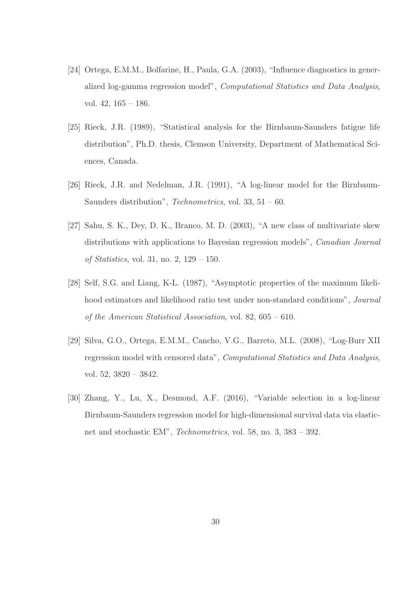- [24] Ortega, E.M.M., Bolfarine, H., Paula, G.A. (2003), "Influence diagnostics in generalized log-gamma regression model", Computational Statistics and Data Analysis, vol. 42, 165 – 186.
- [25] Rieck, J.R. (1989), "Statistical analysis for the Birnbaum-Saunders fatigue life distribution", Ph.D. thesis, Clemson University, Department of Mathematical Sciences, Canada.
- [26] Rieck, J.R. and Nedelman, J.R. (1991), "A log-linear model for the Birnbaum-Saunders distribution", *Technometrics*, vol. 33,  $51 - 60$ .
- [27] Sahu, S. K., Dey, D. K., Branco, M. D. (2003), "A new class of multivariate skew distributions with applications to Bayesian regression models", Canadian Journal of Statistics, vol. 31, no. 2, 129 – 150.
- [28] Self, S.G. and Liang, K-L. (1987), "Asymptotic properties of the maximum likelihood estimators and likelihood ratio test under non-standard conditions", Journal of the American Statistical Association, vol. 82, 605 – 610.
- [29] Silva, G.O., Ortega, E.M.M., Cancho, V.G., Barreto, M.L. (2008), "Log-Burr XII regression model with censored data", Computational Statistics and Data Analysis, vol. 52, 3820 – 3842.
- [30] Zhang, Y., Lu, X., Desmond, A.F. (2016), "Variable selection in a log-linear Birnbaum-Saunders regression model for high-dimensional survival data via elasticnet and stochastic EM", Technometrics, vol. 58, no. 3, 383 – 392.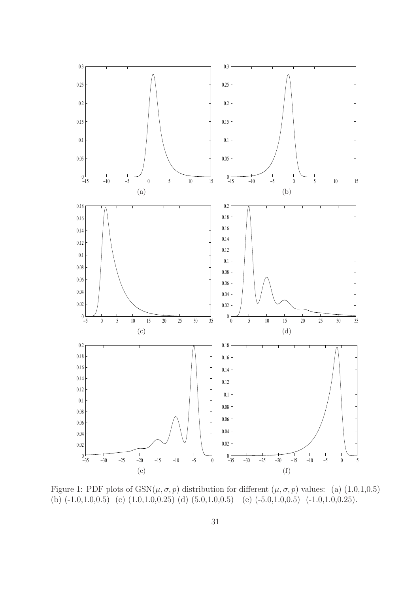

Figure 1: PDF plots of  $GSN(\mu, \sigma, p)$  distribution for different  $(\mu, \sigma, p)$  values: (a)  $(1.0, 1, 0.5)$ (b)  $(-1.0,1.0,0.5)$  (c)  $(1.0,1.0,0.25)$  (d)  $(5.0,1.0,0.5)$  (e)  $(-5.0,1.0,0.5)$   $(-1.0,1.0,0.25)$ .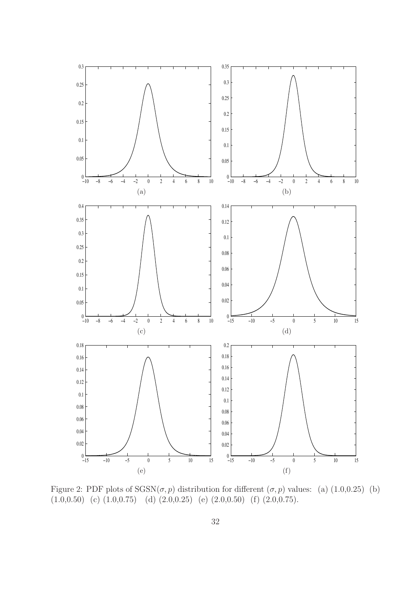

Figure 2: PDF plots of  $SGSN(\sigma, p)$  distribution for different  $(\sigma, p)$  values: (a) (1.0,0.25) (b)  $(1.0,0.50)$  (c)  $(1.0,0.75)$  (d)  $(2.0,0.25)$  (e)  $(2.0,0.50)$  (f)  $(2.0,0.75)$ .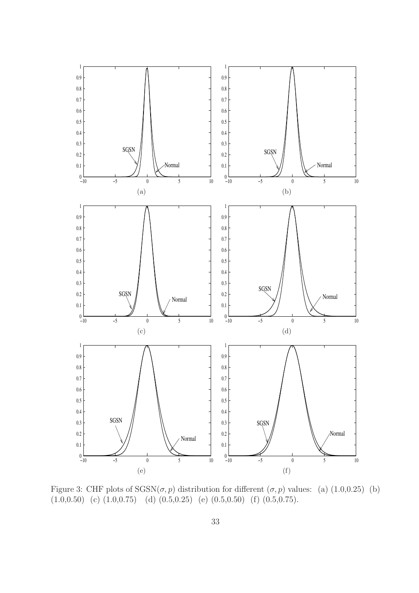

Figure 3: CHF plots of  $SGSN(\sigma, p)$  distribution for different  $(\sigma, p)$  values: (a) (1.0,0.25) (b)  $(1.0,0.50)$  (c)  $(1.0,0.75)$  (d)  $(0.5,0.25)$  (e)  $(0.5,0.50)$  (f)  $(0.5,0.75)$ .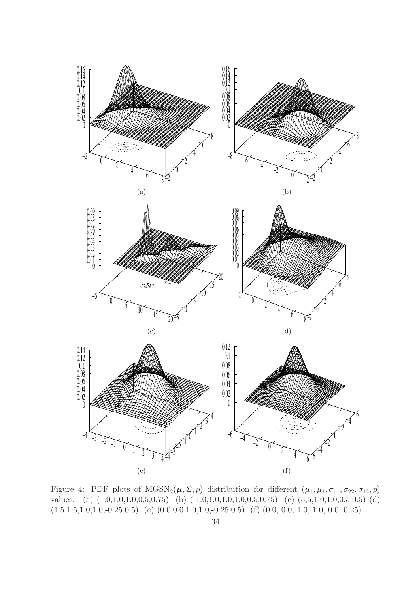

Figure 4: PDF plots of  $MGSN_2(\mu, \Sigma, p)$  distribution for different  $(\mu_1, \mu_1, \sigma_{11}, \sigma_{22}, \sigma_{12}, p)$ values: (a) (1.0,1.0,1.0,0.5,0.75) (b) (-1.0,1.0,1.0,1.0,0.5,0.75) (c) (5,5,1.0,1.0,0.5,0.5) (d)  $(1.5,1.5,1.0,1.0,-0.25,0.5)$  (e)  $(0.0,0.0,1.0,1.0,-0.25,0.5)$  (f)  $(0.0, 0.0, 1.0, 1.0, 0.0, 0.25)$ .